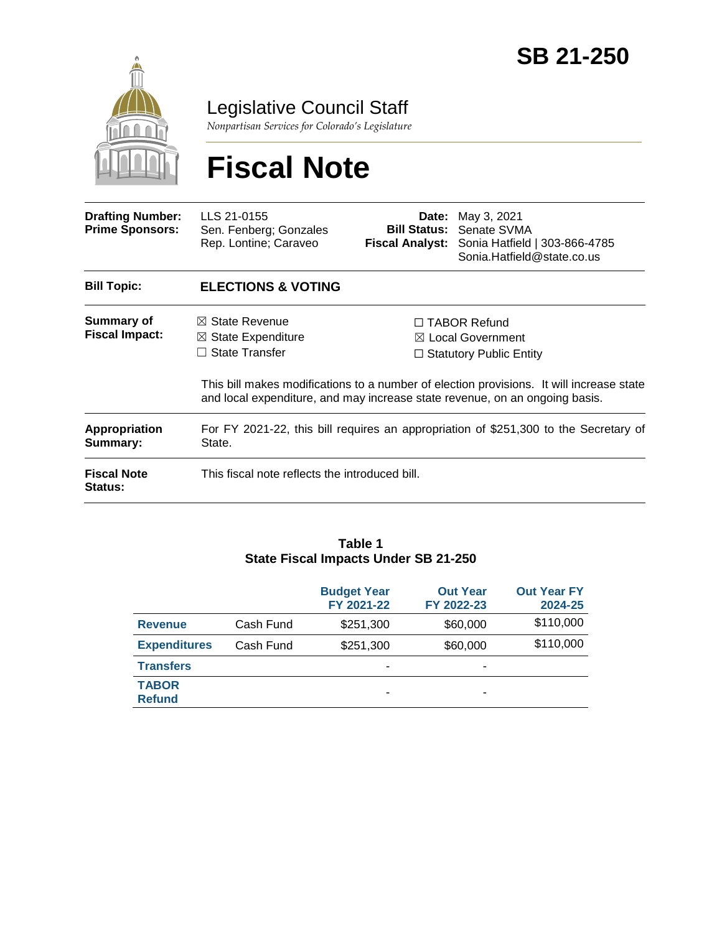

Legislative Council Staff

*Nonpartisan Services for Colorado's Legislature*

# **Fiscal Note**

| <b>Drafting Number:</b><br><b>Prime Sponsors:</b> | LLS 21-0155<br>Sen. Fenberg; Gonzales<br>Rep. Lontine; Caraveo                                                                                                          | Date:                                               | May 3, 2021<br><b>Bill Status: Senate SVMA</b><br><b>Fiscal Analyst:</b> Sonia Hatfield   303-866-4785<br>Sonia.Hatfield@state.co.us |
|---------------------------------------------------|-------------------------------------------------------------------------------------------------------------------------------------------------------------------------|-----------------------------------------------------|--------------------------------------------------------------------------------------------------------------------------------------|
| <b>Bill Topic:</b>                                | <b>ELECTIONS &amp; VOTING</b>                                                                                                                                           |                                                     |                                                                                                                                      |
| Summary of<br><b>Fiscal Impact:</b>               | $\boxtimes$ State Revenue                                                                                                                                               | $\Box$ TABOR Refund<br>$\boxtimes$ Local Government |                                                                                                                                      |
|                                                   | $\boxtimes$ State Expenditure<br><b>State Transfer</b><br>$\mathsf{L}$<br>$\Box$ Statutory Public Entity                                                                |                                                     |                                                                                                                                      |
|                                                   | This bill makes modifications to a number of election provisions. It will increase state<br>and local expenditure, and may increase state revenue, on an ongoing basis. |                                                     |                                                                                                                                      |
| <b>Appropriation</b><br>Summary:                  | For FY 2021-22, this bill requires an appropriation of \$251,300 to the Secretary of<br>State.                                                                          |                                                     |                                                                                                                                      |
| <b>Fiscal Note</b><br>Status:                     | This fiscal note reflects the introduced bill.                                                                                                                          |                                                     |                                                                                                                                      |

#### **Table 1 State Fiscal Impacts Under SB 21-250**

|                               |           | <b>Budget Year</b><br>FY 2021-22 | <b>Out Year</b><br>FY 2022-23 | <b>Out Year FY</b><br>2024-25 |
|-------------------------------|-----------|----------------------------------|-------------------------------|-------------------------------|
| <b>Revenue</b>                | Cash Fund | \$251,300                        | \$60,000                      | \$110,000                     |
| <b>Expenditures</b>           | Cash Fund | \$251,300                        | \$60,000                      | \$110,000                     |
| <b>Transfers</b>              |           | -                                | -                             |                               |
| <b>TABOR</b><br><b>Refund</b> |           | -                                | ۰                             |                               |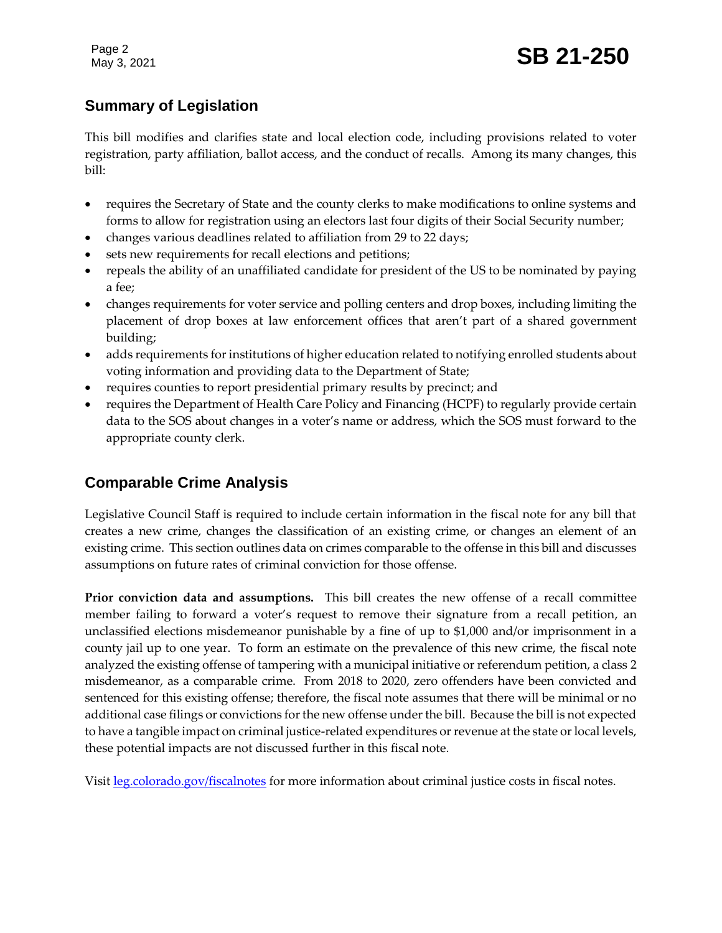Page 2

## **Summary of Legislation**

This bill modifies and clarifies state and local election code, including provisions related to voter registration, party affiliation, ballot access, and the conduct of recalls. Among its many changes, this bill:

- requires the Secretary of State and the county clerks to make modifications to online systems and forms to allow for registration using an electors last four digits of their Social Security number;
- changes various deadlines related to affiliation from 29 to 22 days;
- sets new requirements for recall elections and petitions;
- repeals the ability of an unaffiliated candidate for president of the US to be nominated by paying a fee;
- changes requirements for voter service and polling centers and drop boxes, including limiting the placement of drop boxes at law enforcement offices that aren't part of a shared government building;
- adds requirements for institutions of higher education related to notifying enrolled students about voting information and providing data to the Department of State;
- requires counties to report presidential primary results by precinct; and
- requires the Department of Health Care Policy and Financing (HCPF) to regularly provide certain data to the SOS about changes in a voter's name or address, which the SOS must forward to the appropriate county clerk.

## **Comparable Crime Analysis**

Legislative Council Staff is required to include certain information in the fiscal note for any bill that creates a new crime, changes the classification of an existing crime, or changes an element of an existing crime. This section outlines data on crimes comparable to the offense in this bill and discusses assumptions on future rates of criminal conviction for those offense.

**Prior conviction data and assumptions.** This bill creates the new offense of a recall committee member failing to forward a voter's request to remove their signature from a recall petition, an unclassified elections misdemeanor punishable by a fine of up to \$1,000 and/or imprisonment in a county jail up to one year. To form an estimate on the prevalence of this new crime, the fiscal note analyzed the existing offense of tampering with a municipal initiative or referendum petition, a class 2 misdemeanor, as a comparable crime. From 2018 to 2020, zero offenders have been convicted and sentenced for this existing offense; therefore, the fiscal note assumes that there will be minimal or no additional case filings or convictions for the new offense under the bill. Because the bill is not expected to have a tangible impact on criminal justice-related expenditures or revenue at the state or local levels, these potential impacts are not discussed further in this fiscal note.

Visit [leg.colorado.gov/fiscalnotes](http://leg.colorado.gov/fiscalnotes/) for more information about criminal justice costs in fiscal notes.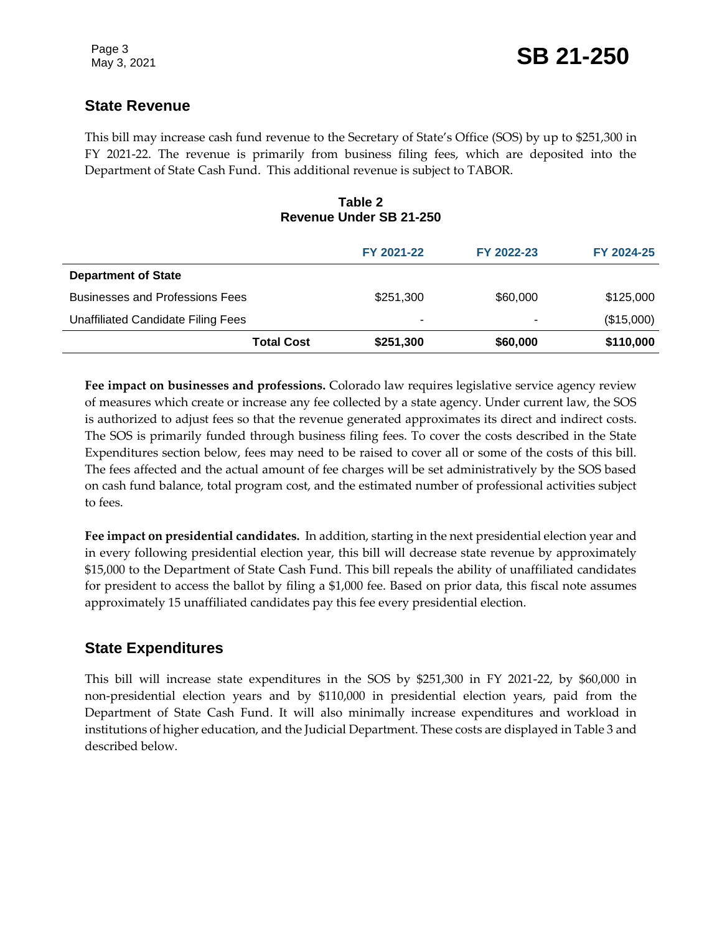## **State Revenue**

This bill may increase cash fund revenue to the Secretary of State's Office (SOS) by up to \$251,300 in FY 2021-22. The revenue is primarily from business filing fees, which are deposited into the Department of State Cash Fund. This additional revenue is subject to TABOR.

#### **Table 2 Revenue Under SB 21-250**

|                                        | FY 2021-22 | FY 2022-23 | FY 2024-25 |
|----------------------------------------|------------|------------|------------|
| <b>Department of State</b>             |            |            |            |
| <b>Businesses and Professions Fees</b> | \$251,300  | \$60,000   | \$125,000  |
| Unaffiliated Candidate Filing Fees     | -          | ۰          | (\$15,000) |
| <b>Total Cost</b>                      | \$251,300  | \$60,000   | \$110,000  |

**Fee impact on businesses and professions.** Colorado law requires legislative service agency review of measures which create or increase any fee collected by a state agency. Under current law, the SOS is authorized to adjust fees so that the revenue generated approximates its direct and indirect costs. The SOS is primarily funded through business filing fees. To cover the costs described in the State Expenditures section below, fees may need to be raised to cover all or some of the costs of this bill. The fees affected and the actual amount of fee charges will be set administratively by the SOS based on cash fund balance, total program cost, and the estimated number of professional activities subject to fees.

**Fee impact on presidential candidates.** In addition, starting in the next presidential election year and in every following presidential election year, this bill will decrease state revenue by approximately \$15,000 to the Department of State Cash Fund. This bill repeals the ability of unaffiliated candidates for president to access the ballot by filing a \$1,000 fee. Based on prior data, this fiscal note assumes approximately 15 unaffiliated candidates pay this fee every presidential election.

## **State Expenditures**

This bill will increase state expenditures in the SOS by \$251,300 in FY 2021-22, by \$60,000 in non-presidential election years and by \$110,000 in presidential election years, paid from the Department of State Cash Fund. It will also minimally increase expenditures and workload in institutions of higher education, and the Judicial Department. These costs are displayed in Table 3 and described below.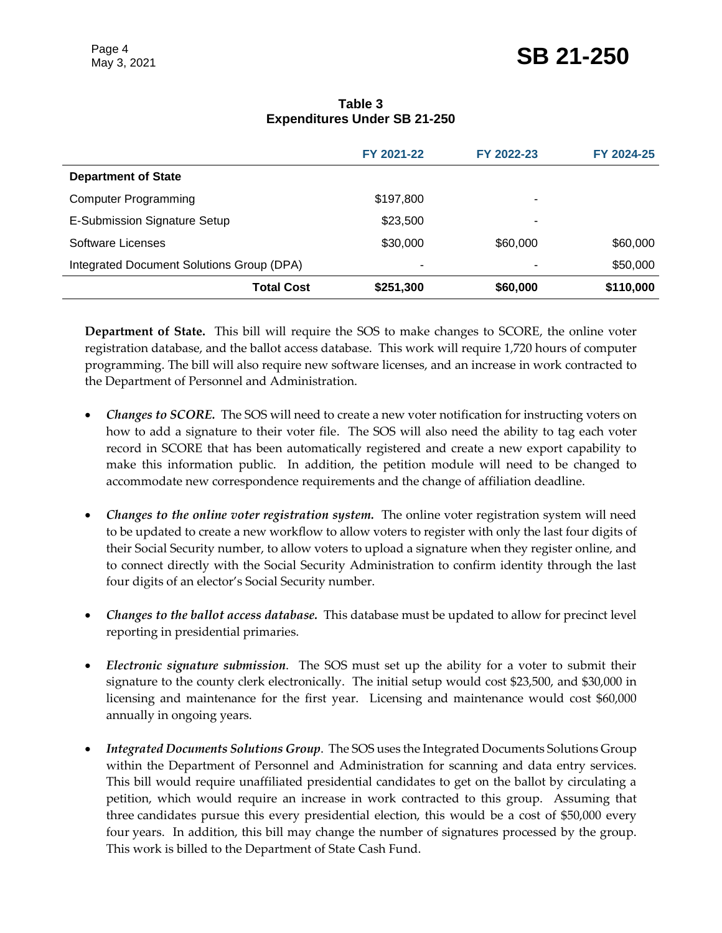|                                           | FY 2021-22 | FY 2022-23 | FY 2024-25 |
|-------------------------------------------|------------|------------|------------|
| <b>Department of State</b>                |            |            |            |
| <b>Computer Programming</b>               | \$197,800  | ۰          |            |
| E-Submission Signature Setup              | \$23,500   | ۰          |            |
| Software Licenses                         | \$30,000   | \$60,000   | \$60,000   |
| Integrated Document Solutions Group (DPA) | ۰          | -          | \$50,000   |
| <b>Total Cost</b>                         | \$251,300  | \$60,000   | \$110,000  |

#### **Table 3 Expenditures Under SB 21-250**

**Department of State.** This bill will require the SOS to make changes to SCORE, the online voter registration database, and the ballot access database. This work will require 1,720 hours of computer programming. The bill will also require new software licenses, and an increase in work contracted to the Department of Personnel and Administration.

- *Changes to SCORE.* The SOS will need to create a new voter notification for instructing voters on how to add a signature to their voter file. The SOS will also need the ability to tag each voter record in SCORE that has been automatically registered and create a new export capability to make this information public. In addition, the petition module will need to be changed to accommodate new correspondence requirements and the change of affiliation deadline.
- *Changes to the online voter registration system.* The online voter registration system will need to be updated to create a new workflow to allow voters to register with only the last four digits of their Social Security number, to allow voters to upload a signature when they register online, and to connect directly with the Social Security Administration to confirm identity through the last four digits of an elector's Social Security number.
- *Changes to the ballot access database.* This database must be updated to allow for precinct level reporting in presidential primaries.
- *Electronic signature submission*. The SOS must set up the ability for a voter to submit their signature to the county clerk electronically. The initial setup would cost \$23,500, and \$30,000 in licensing and maintenance for the first year. Licensing and maintenance would cost \$60,000 annually in ongoing years.
- *Integrated Documents Solutions Group*. The SOS uses the Integrated Documents Solutions Group within the Department of Personnel and Administration for scanning and data entry services. This bill would require unaffiliated presidential candidates to get on the ballot by circulating a petition, which would require an increase in work contracted to this group. Assuming that three candidates pursue this every presidential election, this would be a cost of \$50,000 every four years. In addition, this bill may change the number of signatures processed by the group. This work is billed to the Department of State Cash Fund.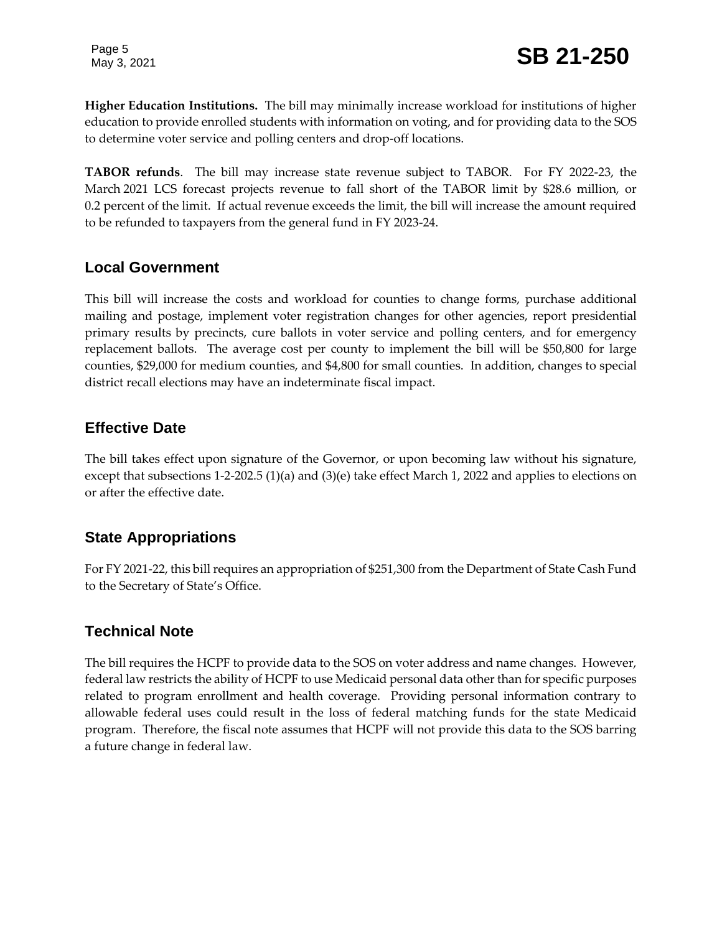Page 5

**Higher Education Institutions.** The bill may minimally increase workload for institutions of higher education to provide enrolled students with information on voting, and for providing data to the SOS to determine voter service and polling centers and drop-off locations.

**TABOR refunds**. The bill may increase state revenue subject to TABOR. For FY 2022-23, the March 2021 LCS forecast projects revenue to fall short of the TABOR limit by \$28.6 million, or 0.2 percent of the limit. If actual revenue exceeds the limit, the bill will increase the amount required to be refunded to taxpayers from the general fund in FY 2023-24.

## **Local Government**

This bill will increase the costs and workload for counties to change forms, purchase additional mailing and postage, implement voter registration changes for other agencies, report presidential primary results by precincts, cure ballots in voter service and polling centers, and for emergency replacement ballots. The average cost per county to implement the bill will be \$50,800 for large counties, \$29,000 for medium counties, and \$4,800 for small counties. In addition, changes to special district recall elections may have an indeterminate fiscal impact.

## **Effective Date**

The bill takes effect upon signature of the Governor, or upon becoming law without his signature, except that subsections 1-2-202.5 (1)(a) and (3)(e) take effect March 1, 2022 and applies to elections on or after the effective date.

## **State Appropriations**

For FY 2021-22, this bill requires an appropriation of \$251,300 from the Department of State Cash Fund to the Secretary of State's Office.

## **Technical Note**

The bill requires the HCPF to provide data to the SOS on voter address and name changes. However, federal law restricts the ability of HCPF to use Medicaid personal data other than for specific purposes related to program enrollment and health coverage. Providing personal information contrary to allowable federal uses could result in the loss of federal matching funds for the state Medicaid program. Therefore, the fiscal note assumes that HCPF will not provide this data to the SOS barring a future change in federal law.